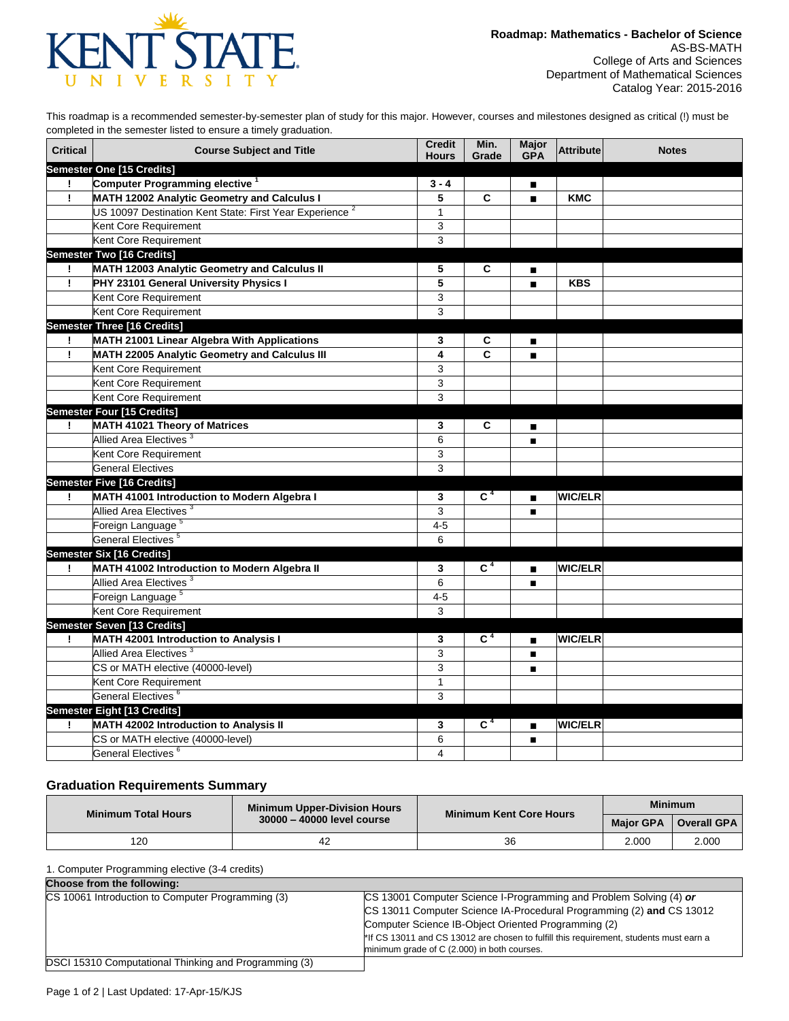

This roadmap is a recommended semester-by-semester plan of study for this major. However, courses and milestones designed as critical (!) must be completed in the semester listed to ensure a timely graduation.

| <b>Critical</b> | <b>Course Subject and Title</b>                                     | <b>Credit</b><br><b>Hours</b> | Min.<br>Grade    | <b>Major</b><br><b>GPA</b> | Attribute      | <b>Notes</b> |
|-----------------|---------------------------------------------------------------------|-------------------------------|------------------|----------------------------|----------------|--------------|
|                 | Semester One [15 Credits]                                           |                               |                  |                            |                |              |
| Ţ               | Computer Programming elective <sup>1</sup>                          | $3 - 4$                       |                  | ■                          |                |              |
| Ţ               | MATH 12002 Analytic Geometry and Calculus I                         | 5                             | C                | $\blacksquare$             | <b>KMC</b>     |              |
|                 | US 10097 Destination Kent State: First Year Experience <sup>2</sup> | $\mathbf{1}$                  |                  |                            |                |              |
|                 | Kent Core Requirement                                               | 3                             |                  |                            |                |              |
|                 | Kent Core Requirement                                               | $\mathsf 3$                   |                  |                            |                |              |
|                 | <b>Semester Two [16 Credits]</b>                                    |                               |                  |                            |                |              |
|                 | MATH 12003 Analytic Geometry and Calculus II                        | 5                             | C                | П                          |                |              |
| Ţ               | PHY 23101 General University Physics I                              | 5                             |                  | $\blacksquare$             | <b>KBS</b>     |              |
|                 | Kent Core Requirement                                               | 3                             |                  |                            |                |              |
|                 | Kent Core Requirement                                               | 3                             |                  |                            |                |              |
|                 | Semester Three [16 Credits]                                         |                               |                  |                            |                |              |
| Ţ.              | MATH 21001 Linear Algebra With Applications                         | 3                             | С                | $\blacksquare$             |                |              |
| Ţ               | MATH 22005 Analytic Geometry and Calculus III                       | 4                             | C                | $\blacksquare$             |                |              |
|                 | Kent Core Requirement                                               | $\mathsf 3$                   |                  |                            |                |              |
|                 | Kent Core Requirement                                               | 3                             |                  |                            |                |              |
|                 | Kent Core Requirement                                               | 3                             |                  |                            |                |              |
|                 | Semester Four [15 Credits]                                          |                               |                  |                            |                |              |
| Ţ.              | MATH 41021 Theory of Matrices                                       | 3                             | C                | $\blacksquare$             |                |              |
|                 | Allied Area Electives <sup>3</sup>                                  | 6                             |                  | $\blacksquare$             |                |              |
|                 | Kent Core Requirement                                               | 3                             |                  |                            |                |              |
|                 | <b>General Electives</b>                                            | 3                             |                  |                            |                |              |
|                 | <b>Semester Five [16 Credits]</b>                                   |                               |                  |                            |                |              |
| Ţ               | MATH 41001 Introduction to Modern Algebra I                         | 3                             | $\overline{C^4}$ | $\blacksquare$             | <b>WIC/ELR</b> |              |
|                 | Allied Area Electives <sup>3</sup>                                  | 3                             |                  | п                          |                |              |
|                 | Foreign Language <sup>5</sup>                                       | $4 - 5$                       |                  |                            |                |              |
|                 | General Electives <sup>5</sup>                                      | 6                             |                  |                            |                |              |
|                 | Semester Six [16 Credits]                                           |                               |                  |                            |                |              |
| Ţ               | MATH 41002 Introduction to Modern Algebra II                        | 3                             | C <sup>4</sup>   | $\blacksquare$             | <b>WIC/ELR</b> |              |
|                 | Allied Area Electives <sup>3</sup>                                  | 6                             |                  | $\blacksquare$             |                |              |
|                 | Foreign Language <sup>5</sup>                                       | $4 - 5$                       |                  |                            |                |              |
|                 | Kent Core Requirement                                               | 3                             |                  |                            |                |              |
|                 | Semester Seven [13 Credits]                                         |                               |                  |                            |                |              |
| Ţ               | <b>MATH 42001 Introduction to Analysis I</b>                        | 3                             | C <sup>4</sup>   | $\blacksquare$             | <b>WIC/ELR</b> |              |
|                 | Allied Area Electives <sup>3</sup>                                  | 3                             |                  | $\blacksquare$             |                |              |
|                 | CS or MATH elective (40000-level)                                   | 3                             |                  | $\blacksquare$             |                |              |
|                 | Kent Core Requirement                                               | $\mathbf{1}$                  |                  |                            |                |              |
|                 | General Electives <sup>6</sup>                                      | 3                             |                  |                            |                |              |
|                 | <b>Semester Eight [13 Credits]</b>                                  |                               |                  |                            |                |              |
| Ţ               | <b>MATH 42002 Introduction to Analysis II</b>                       | 3                             | C <sup>4</sup>   | $\blacksquare$             | <b>WIC/ELR</b> |              |
|                 | CS or MATH elective (40000-level)                                   | 6                             |                  | п                          |                |              |
|                 | General Electives <sup>6</sup>                                      | 4                             |                  |                            |                |              |

## **Graduation Requirements Summary**

| <b>Minimum Total Hours</b> | <b>Minimum Upper-Division Hours</b> | Minimum Kent Core Hours | <b>Minimum</b>   |                    |
|----------------------------|-------------------------------------|-------------------------|------------------|--------------------|
|                            | 30000 - 40000 level course          |                         | <b>Maior GPA</b> | <b>Overall GPA</b> |
| 120                        | 42                                  | 36                      | 2.000            | 2.000              |

1. Computer Programming elective (3-4 credits)

| Choose from the following:                            |                                                                                        |  |  |  |  |
|-------------------------------------------------------|----------------------------------------------------------------------------------------|--|--|--|--|
| CS 10061 Introduction to Computer Programming (3)     | CS 13001 Computer Science I-Programming and Problem Solving (4) or                     |  |  |  |  |
|                                                       | CS 13011 Computer Science IA-Procedural Programming (2) and CS 13012                   |  |  |  |  |
|                                                       | Computer Science IB-Object Oriented Programming (2)                                    |  |  |  |  |
|                                                       | *If CS 13011 and CS 13012 are chosen to fulfill this requirement, students must earn a |  |  |  |  |
|                                                       | minimum grade of C (2.000) in both courses.                                            |  |  |  |  |
| DSCI 15310 Computational Thinking and Programming (3) |                                                                                        |  |  |  |  |